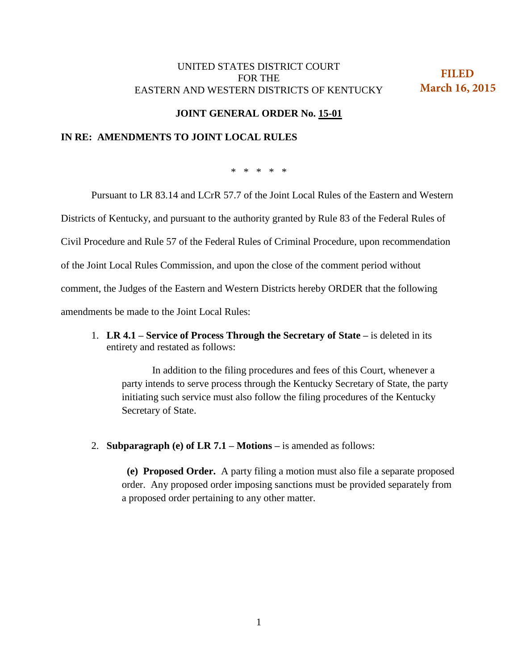## UNITED STATES DISTRICT COURT FOR THE EASTERN AND WESTERN DISTRICTS OF KENTUCKY

 **FILED March 16, 2015**

## **JOINT GENERAL ORDER No. 15-01**

## **IN RE: AMENDMENTS TO JOINT LOCAL RULES**

\* \* \* \* \*

Pursuant to LR 83.14 and LCrR 57.7 of the Joint Local Rules of the Eastern and Western

Districts of Kentucky, and pursuant to the authority granted by Rule 83 of the Federal Rules of

Civil Procedure and Rule 57 of the Federal Rules of Criminal Procedure, upon recommendation

of the Joint Local Rules Commission, and upon the close of the comment period without

comment, the Judges of the Eastern and Western Districts hereby ORDER that the following

amendments be made to the Joint Local Rules:

1. **LR 4.1 – Service of Process Through the Secretary of State –** is deleted in its entirety and restated as follows:

In addition to the filing procedures and fees of this Court, whenever a party intends to serve process through the Kentucky Secretary of State, the party initiating such service must also follow the filing procedures of the Kentucky Secretary of State.

2. **Subparagraph (e) of LR 7.1 – Motions –** is amended as follows:

 **(e) Proposed Order.** A party filing a motion must also file a separate proposed order. Any proposed order imposing sanctions must be provided separately from a proposed order pertaining to any other matter.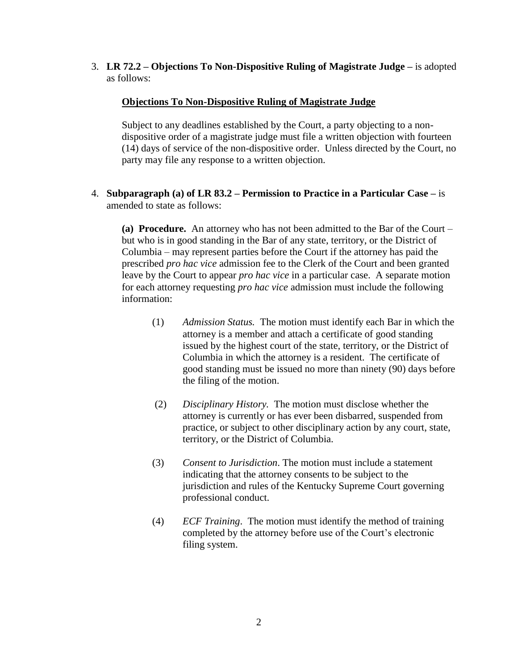3. **LR 72.2 – Objections To Non-Dispositive Ruling of Magistrate Judge –** is adopted as follows:

## **Objections To Non-Dispositive Ruling of Magistrate Judge**

Subject to any deadlines established by the Court, a party objecting to a nondispositive order of a magistrate judge must file a written objection with fourteen (14) days of service of the non-dispositive order. Unless directed by the Court, no party may file any response to a written objection.

4. **Subparagraph (a) of LR 83.2 – Permission to Practice in a Particular Case –** is amended to state as follows:

**(a) Procedure.** An attorney who has not been admitted to the Bar of the Court – but who is in good standing in the Bar of any state, territory, or the District of Columbia – may represent parties before the Court if the attorney has paid the prescribed *pro hac vice* admission fee to the Clerk of the Court and been granted leave by the Court to appear *pro hac vice* in a particular case. A separate motion for each attorney requesting *pro hac vice* admission must include the following information:

- (1) *Admission Status.* The motion must identify each Bar in which the attorney is a member and attach a certificate of good standing issued by the highest court of the state, territory, or the District of Columbia in which the attorney is a resident. The certificate of good standing must be issued no more than ninety (90) days before the filing of the motion.
- (2) *Disciplinary History.* The motion must disclose whether the attorney is currently or has ever been disbarred, suspended from practice, or subject to other disciplinary action by any court, state, territory, or the District of Columbia.
- (3) *Consent to Jurisdiction*. The motion must include a statement indicating that the attorney consents to be subject to the jurisdiction and rules of the Kentucky Supreme Court governing professional conduct.
- (4) *ECF Training*. The motion must identify the method of training completed by the attorney before use of the Court's electronic filing system.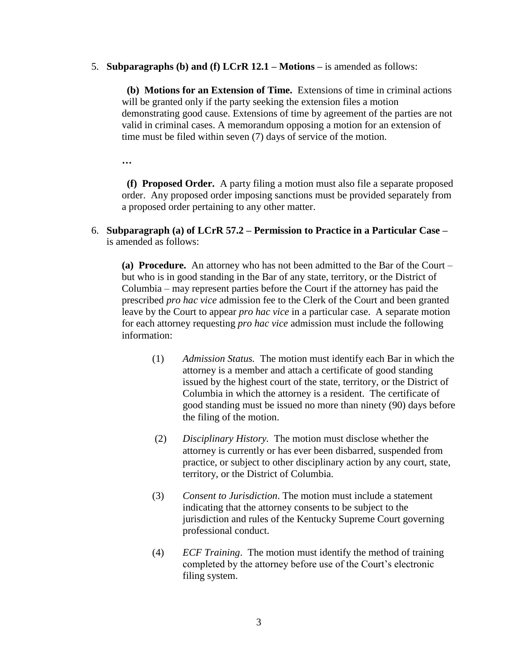5. **Subparagraphs (b) and (f) LCrR 12.1 – Motions –** is amended as follows:

 **(b) Motions for an Extension of Time.** Extensions of time in criminal actions will be granted only if the party seeking the extension files a motion demonstrating good cause. Extensions of time by agreement of the parties are not valid in criminal cases. A memorandum opposing a motion for an extension of time must be filed within seven (7) days of service of the motion.

**…** 

 **(f) Proposed Order.** A party filing a motion must also file a separate proposed order. Any proposed order imposing sanctions must be provided separately from a proposed order pertaining to any other matter.

6. **Subparagraph (a) of LCrR 57.2 – Permission to Practice in a Particular Case –** is amended as follows:

**(a) Procedure.** An attorney who has not been admitted to the Bar of the Court – but who is in good standing in the Bar of any state, territory, or the District of Columbia – may represent parties before the Court if the attorney has paid the prescribed *pro hac vice* admission fee to the Clerk of the Court and been granted leave by the Court to appear *pro hac vice* in a particular case. A separate motion for each attorney requesting *pro hac vice* admission must include the following information:

- (1) *Admission Status.* The motion must identify each Bar in which the attorney is a member and attach a certificate of good standing issued by the highest court of the state, territory, or the District of Columbia in which the attorney is a resident. The certificate of good standing must be issued no more than ninety (90) days before the filing of the motion.
- (2) *Disciplinary History.* The motion must disclose whether the attorney is currently or has ever been disbarred, suspended from practice, or subject to other disciplinary action by any court, state, territory, or the District of Columbia.
- (3) *Consent to Jurisdiction*. The motion must include a statement indicating that the attorney consents to be subject to the jurisdiction and rules of the Kentucky Supreme Court governing professional conduct.
- (4) *ECF Training*. The motion must identify the method of training completed by the attorney before use of the Court's electronic filing system.